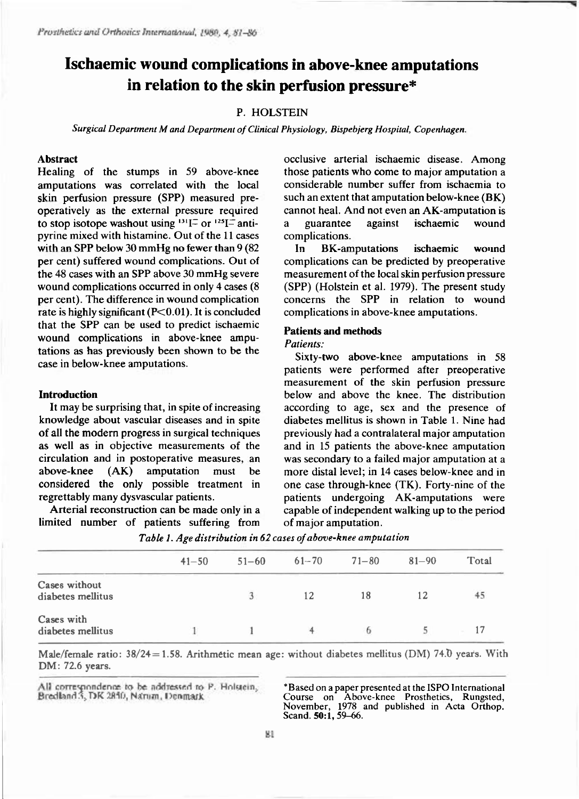# **Ischaemic wound complications in above-knee amputations in relation to the skin perfusion pressure\***

# P. HOLSTEIN

*Surgical Department M and Department of Clinical Physiology, Bispebjerg Hospital, Copenhagen.* 

## **Abstrac t**

Healing of the stumps in 59 above-knee amputations was correlated with the local skin perfusion pressure (SPP) measured preoperatively as the external pressure required to stop isotope washout using  $131\frac{1}{2}$  or  $125\frac{1}{2}$  anti pyrine mixed with histamine. Out of the 11 cases with an SPP below 30 mmHg no fewer than 9 (82) per cent) suffered wound complications. Out of the 48 cases with an SPP above 30 mmHg severe wound complications occurred in only 4 cases (8) per cent). The difference in wound complication rate is highly significant ( $P<0.01$ ). It is concluded that the SPP can be used to predict ischaemic wound complications in above-knee amputations as has previously been shown to be the case in below-knee amputations.

## **Introduction**

It may be surprising that, in spite of increasing knowledge about vascular diseases and in spite of all the modern progress in surgical techniques as well as in objective measurements of the circulation and in postoperative measures, an above-knee  $(AK)$  amputation must be considered the only possible treatment in regrettably many dysvascular patients.

Arterial reconstruction can be made only in a limited number of patients suffering from occlusive arterial ischaemic disease. Among those patients who come to major amputation a considerable number suffer from ischaemia to such an extent that amputation below-knee  $(BK)$ cannot heal. And not even an AK-amputation is a guarantee against ischaemic wound complications.

In BK-amputations ischaemic wound complications can be predicted by preoperative measurement of the local skin perfusion pressure (SPP) (Holstein et al. 1979). The present study concerns the SPP in relation to wound complications in above-knee amputations.

# **Patients and methods**

# *Patients:*

Sixty-two above-knee amputations in 58 patients were performed after preoperative measurement of the skin perfusion pressure below and above the knee. The distribution according to age, sex and the presence of diabetes mellitus is shown in Table 1. Nine had previously had a contralateral major amputation and in 15 patients the above-knee amputation was secondary to a failed major amputation at a more distal level; in 14 cases below-knee and in one case through-knee (TK). Forty-nine of the patients undergoing AK-amputations were capable of independent walking up to the period of major amputation.

|                                    | $41 - 50$ | $51 - 60$ | $61 - 70$ | $71 - 80$ | $81 - 90$ | Total |  |  |
|------------------------------------|-----------|-----------|-----------|-----------|-----------|-------|--|--|
| Cases without<br>diabetes mellitus |           | 3         | 12        | 18        | 12        | 45    |  |  |
| Cases with<br>diabetes mellitus    |           |           |           |           |           | 17    |  |  |

*Table I. Age distribution in 62 cases of above-knee amputation* 

Male/female ratio:  $38/24 = 1.58$ . Arithmetic mean age: without diabetes mellitus (DM) 74.0 years. With DM: 72.6 years.

All correspondence to be addressed to P. Holstein, Bredland 3, DK 2840, Naturn, Denmark

**\*Based on a paper presented at the ISPO International Course on Above-knee Prosthetics, Rungsted, November, 1978 and published in Acta Orthop. Scand. 50:1,59-66.**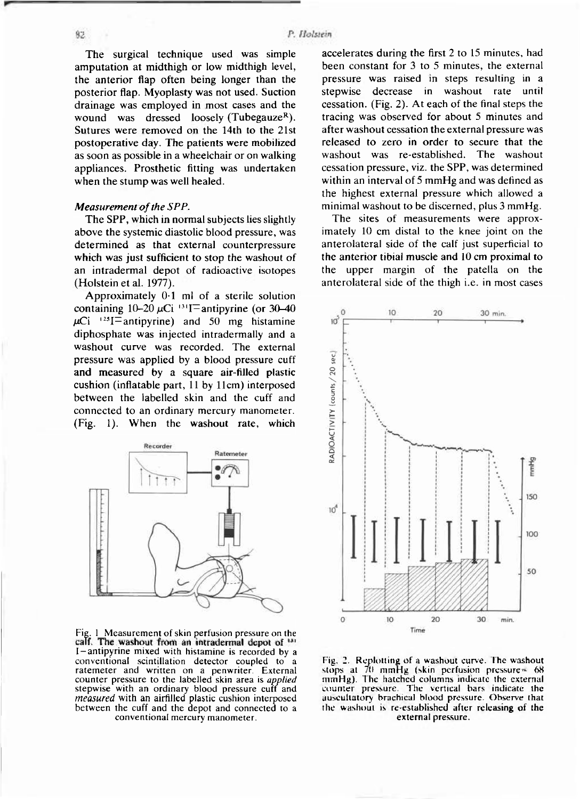The surgical technique used was simple amputation at midthigh or low midthigh level, the anterior flap often being longer than the posterior flap. Myoplasty was not used. Suction drainage was employed in most cases and the wound was dressed loosely (Tubegauze<sup>R</sup>). Sutures were removed on the 14th to the 21st postoperative day. The patients were mobilized as soon as possible in a wheelchair or on walking appliances. Prosthetic fitting was undertaken when the stump was well healed.

# *Measurement of the SPP.*

The SPP, which in normal subjects lies slightly above the systemic diastolic blood pressure, was determined as that external counterpressure which was just sufficient to stop the washout of an intradermal depot of radioactive isotopes  $(Holstein et al. 1977).$ 

Approximately  $0.1$  ml of a sterile solution containing  $10-20 \mu$ Ci <sup>131</sup>I=antipyrine (or 30-40  $\mu$ Ci <sup>125</sup>I = antipyrine) and 50 mg histamine diphosphate was injected intradermally and a washout curve was recorded. The external pressure was applied by a blood pressure cuff and measured by a square air-filled plastic cushion (inflatable part,  $11$  by  $11$ cm) interposed between the labelled skin and the cuff and connected to an ordinary mercury manometer.  $(Fig. 1)$ . When the washout rate, which



**Fig. 1 Measurement of skin perfusion pressure on the**  calf. The washout from an intradermal depot of <sup>131</sup> I-antipyrine mixed with histamine is recorded by a conventional scintillation detector coupled to a ratemeter and written on a penwriter. External counter pressure to the labelled skin area is *applied* stepwise with an ordinary blood pressure cuff and *measured* with an airfilled plastic cushion interposed between the cuff and the depot and connected to a conventional mercury manometer.

accelerates during the first 2 to 15 minutes, had been constant for  $3$  to  $5$  minutes, the external pressure was raised in steps resulting in a stepwise decrease in washout rate until cessation. (Fig. 2). At each of the final steps the tracing was observed for about 5 minutes and after washout cessation the external pressure was released to zero in order to secure that the washout was re-established. The washout cessation pressure, viz. the SPP, was determined within an interval of 5 mmHg and was defined as the highest external pressure which allowed a minimal washout to be discerned, plus 3 mmHg.

The sites of measurements were approximately 10 cm distal to the knee joint on the anterolateral side of the calf just superficial to the anterior tibial muscle and 10 cm proximal to the upper margin of the patella on the anterolateral side of the thigh i.e. in most cases



**Fig. 2. Replotting of a washout curve. The washout stops at 70 mmHg (skin perfusion pressure= 68 mmHg). The hatched columns indicate the external counter pressure. The vertical bars indicate the auscultatory brachical blood pressure. Observe that the washout is re-established after releasing of the external pressure.** 

 $82$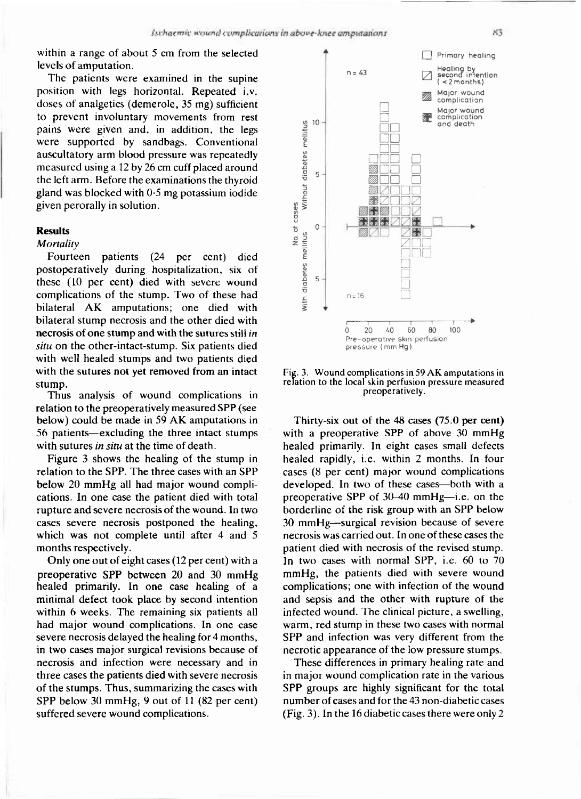within a range of about  $5 \text{ cm}$  from the selected levels of amputation.

The patients were examined in the supine position with legs horizontal. Repeated i.v. doses of analgetics (demerole, 35 mg) sufficient to prevent involuntary movements from rest pains were given and, in addition, the legs were supported by sandbags. Conventional auscultatory arm blood pressure was repeatedly measured using a 12 by 26 cm cuff placed around the left arm. Before the examinations the thyroid gland was blocked with  $0.5$  mg potassium iodide given perorally in solution.

#### **Results**

# *Mortality*

Fourteen patients (24 per cent) died postoperatively during hospitalization, six of these (10 per cent) died with severe wound complications of the stump. Two of these had bilateral AK amputations; one died with bilateral stump necrosis and the other died with necrosis of one stump and with the sutures still *in situ* on the other-intact-stump. Six patients died with well healed stumps and two patients died with the sutures not yet removed from an intact stump.

Thus analysis of wound complications in relation to the preoperatively measured SPP (see below) could be made in 59 AK amputations in 56 patients—excluding the three intact stumps with sutures in situ at the time of death.

Figure 3 shows the healing of the stump in relation to the SPP. The three cases with an SPP below  $20 \text{ mmHg}$  all had major wound complications. In one case the patient died with total rupture and severe necrosis of the wound. In two cases severe necrosis postponed the healing, which was not complete until after  $4$  and  $5$ months respectively.

Only one out of eight cases (12 per cent) with a preoperative SPP between 20 and 30 mmHg healed primarily. In one case healing of a minimal defect took place by second intention within 6 weeks. The remaining six patients all had major wound complications. In one case severe necrosis delayed the healing for 4 months, in two cases major surgical revisions because of necrosis and infection were necessary and in three cases the patients died with severe necrosis of the stumps. Thus, summarizing the cases with SPP below 30 mmHg, 9 out of 11  $(82 \text{ per cent})$ suffered severe wound complications.



**Fig. 3. Wound complications in 59 AK amputations in relation to the local skin perfusion pressure measured preoperatively.** 

Thirty-six out of the  $48$  cases (75.0 per cent) with a preoperative SPP of above 30 mmHg healed primarily. In eight cases small defects healed rapidly, i.e. within 2 months. In four cases  $(8 \text{ per cent})$  major wound complications developed. In two of these cases—both with a preoperative SPP of  $30-40$  mmHg—i.e. on the borderline of the risk group with an SPP below 30 mmHg—surgical revision because of severe necrosis was carried out. In one of these cases the patient died with necrosis of the revised stump. In two cases with normal SPP, i.e.  $60$  to  $70$ mmHg, the patients died with severe wound complications; one with infection of the wound and sepsis and the other with rupture of the infected wound. The clinical picture, a swelling, warm, red stump in these two cases with normal SPP and infection was very different from the necrotic appearance of the low pressure stumps.

These differences in primary healing rate and in major wound complication rate in the various SPP groups are highly significant for the total number of cases and for the 43 non-diabetic cases (Fig. 3). In the 16 diabetic cases there were only 2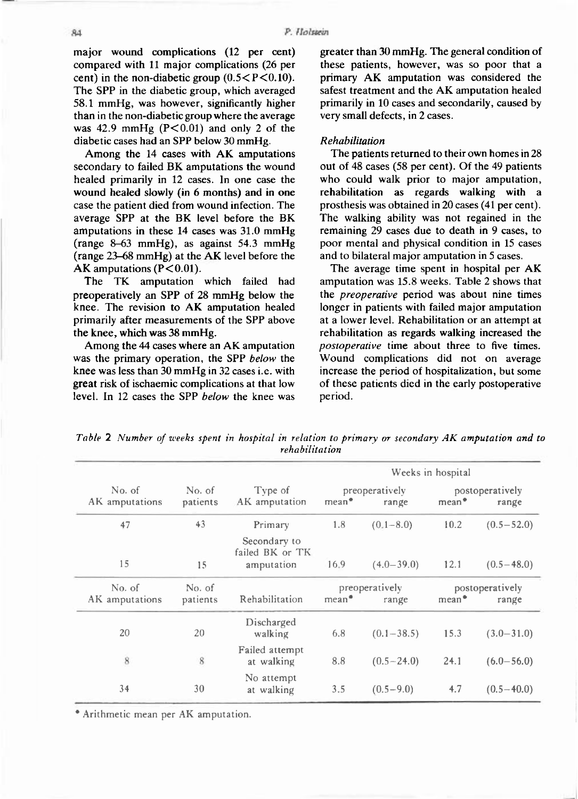major wound complications (12 per cent) compared with 11 major complications (26 per cent) in the non-diabetic group  $(0.5 < P < 0.10)$ . The SPP in the diabetic group, which averaged 58.1 mmHg, was however, significantly higher than in the non-diabetic group where the average was  $42.9 \text{ mmHg}$  (P<0.01) and only 2 of the diabetic cases had an SPP below 30 mmHg.

Among the 14 cases with AK amputations secondary to failed BK amputations the wound healed primarily in 12 cases. In one case the wound healed slowly (in 6 months) and in one case the patient died from wound infection. The average SPP at the BK level before the BK amputations in these  $14$  cases was  $31.0 \text{ mmHg}$  $(range 8-63 mmHg)$ , as against 54.3 mmHg (range  $23-68$  mmHg) at the AK level before the AK amputations  $(P<0.01)$ .

The TK amputation which failed had preoperatively an SPP of  $28 \text{ mmHg}$  below the knee. The revision to AK amputation healed primarily after measurements of the SPP above the knee, which was  $38$  mmHg.

Among the 44 cases where an AK amputation was the primary operation, the SPP below the knee was less than 30 mmHg in 32 cases i.e. with great risk of ischaemic complications at that low level. In 12 cases the SPP *below* the knee was greater than  $30 \text{ mmHg}$ . The general condition of these patients, however, was so poor that a primary AK amputation was considered the safest treatment and the AK amputation healed primarily in 10 cases and secondarily, caused by very small defects, in 2 cases.

## *Rehabilitation*

The patients returned to their own homes in 28 out of 48 cases (58 per cent). Of the 49 patients who could walk prior to major amputation, rehabilitation as regards walking with a prosthesis was obtained in 20 cases (41 per cent). The walking ability was not regained in the remaining 29 cases due to death in 9 cases, to poor mental and physical condition in 15 cases and to bilateral major amputation in 5 cases.

The average time spent in hospital per AK amputation was 15.8 weeks. Table 2 shows that the *preoperative* period was about nine times longer in patients with failed major amputation at a lower level. Rehabilitation or an attempt at rehabilitation as regards walking increased the *postoperative* time about three to five times. Wound complications did not on average increase the period of hospitalization, but some of these patients died in the early postoperative period.

*Table* **2** *Number of weeks spent in hospital in relation to primary or secondary AK amputation and to rehabilitation* 

|                          |                    | Type of<br>AK amputation                      | Weeks in hospital                              |                |                                               |                |
|--------------------------|--------------------|-----------------------------------------------|------------------------------------------------|----------------|-----------------------------------------------|----------------|
| No. of<br>AK amputations | No. of<br>patients |                                               | preoperatively<br>$mean$ <sup>*</sup><br>range |                | postoperatively<br>mean <sup>*</sup><br>range |                |
| 47                       | 43                 | Primary                                       | 1.8                                            | $(0.1 - 8.0)$  | 10.2                                          | $(0.5 - 52.0)$ |
| 15                       | 15                 | Secondary to<br>failed BK or TK<br>amputation | 16.9                                           | $(4.0 - 39.0)$ | 12.1                                          | $(0.5 - 48.0)$ |
| No. of<br>AK amputations | No. of<br>patients | Rehabilitation                                | preoperatively<br>mean <sup>*</sup><br>range   |                | postoperatively<br>mean <sup>*</sup><br>range |                |
| 20                       | 20                 | Discharged<br>walking                         | 6.8                                            | $(0.1 - 38.5)$ | 15.3                                          | $(3.0 - 31.0)$ |
| 8                        | 8                  | Failed attempt<br>at walking                  | 8.8                                            | $(0.5 - 24.0)$ | 24.1                                          | $(6.0 - 56.0)$ |
| 34                       | 30                 | No attempt<br>at walking                      | 3.5                                            | $(0.5 - 9.0)$  | 4.7                                           | $(0.5 - 40.0)$ |

\* Arithmetic mean per AK amputation.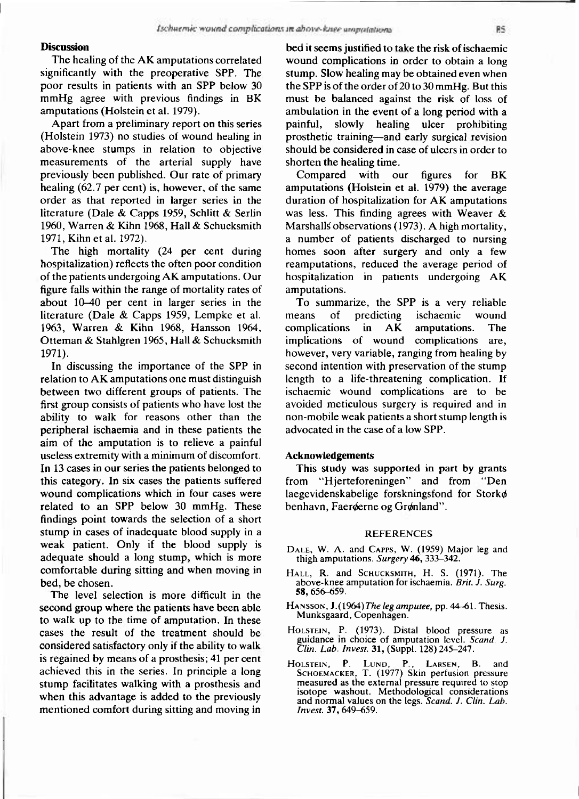### **Discussion**

The healing of the AK amputations correlated significantly with the preoperative SPP. The poor results in patients with an SPP below 30 mmHg agree with previous findings in BK amputations (Holstein et al. 1979).

Apart from a preliminary report on this series (Holstein 1973) no studies of wound healing in above-knee stumps in relation to objective measurements of the arterial supply have previously been published. Our rate of primary healing  $(62.7 \text{ per cent})$  is, however, of the same order as that reported in larger series in the literature (Dale & Capps 1959, Schlitt & Serlin 1960, Warren & Kihn 1968, Hall & Schucksmith 1971, Kihn et al. 1972).

The high mortality (24 per cent during hospitalization) reflects the often poor condition of the patients undergoing AK amputations. Our figure falls within the range of mortality rates of about  $10-40$  per cent in larger series in the literature (Dale  $& \text{Capos } 1959, \text{ Lempke et al.}$ 1963, Warren & Kihn 1968, Hansson 1964, Otteman & Stahlgren 1965, Hall & Schucksmith 1971).

In discussing the importance of the SPP in relation to  $AK$  amputations one must distinguish between two different groups of patients. The first group consists of patients who have lost the ability to walk for reasons other than the peripheral ischaemia and in these patients the aim of the amputation is to relieve a painful useless extremity with a minimum of discomfort. In 13 cases in our series the patients belonged to this category. In six cases the patients suffered wound complications which in four cases were related to an SPP below 30 mmHg. These findings point towards the selection of a short stump in cases of inadequate blood supply in a weak patient. Only if the blood supply is adequate should a long stump, which is more comfortable during sitting and when moving in bed, be chosen.

The level selection is more difficult in the second group where the patients have been able to walk up to the time of amputation. In these cases the result of the treatment should be considered satisfactory only if the ability to walk is regained by means of a prosthesis; 41 per cent achieved this in the series. In principle a long stump facilitates walking with a prosthesis and when this advantage is added to the previously mentioned comfort during sitting and moving in

bed it seems justified to take the risk of ischaemic wound complications in order to obtain a long stump. Slow healing may be obtained even when the SPP is of the order of  $20$  to  $30$  mmHg. But this must be balanced against the risk of loss of ambulation in the event of a long period with a painful, slowly healing ulcer prohibiting prosthetic training—and early surgical revision should be considered in case of ulcers in order to shorten the healing time.

Compared with our figures for BK amputations (Holstein et al. 1979) the average duration of hospitalization for AK amputations was less. This finding agrees with Weaver  $\&$ Marshalls observations (1973). A high mortality, a number of patients discharged to nursing homes soon after surgery and only a few reamputations, reduced the average period of hospitalization in patients undergoing AK amputations.

To summarize, the SPP is a very reliable means of predicting ischaemic wound  $complications$  in  $AK$  amputations. The implications of wound complications are, however, very variable, ranging from healing by second intention with preservation of the stump length to a life-threatening complication. If ischaemic wound complications are to be avoided meticulous surgery is required and in non-mobile weak patients a short stump length is advocated in the case of a low SPP.

## **Acknowledgements**

This study was supported in part by grants from "Hjerteforeningen" and from "Den laegevidenskabelige forskningsfond for Storkø benhavn, Faeroerne og Gronland".

#### **REFERENCE S**

- **DALE , W. A. and CAPPS, W. (1959 ) Major leg and thigh amputations.** *Surgery* **46, 333-342 .**
- **HALL, R . and SCHUCKSMITH, H . S. (1971) . The above-knee amputation for ischaemia.** *Brit. J. Surg.*  **58, 656-659 .**
- **HANSSON, J.(1964 )** *The leg amputee,* **pp. 44-61 . Thesis. Munksgaard, Copenhagen.**
- **HOLSTEIN, P. (1973) . Distal blood pressure as**  guidance in choice of amputation level. *Scand. J. Clin. Lab. Invest.* **31,** (Suppl. 128) 245-247.
- **HOLSTEIN, P . LUND , P. , LARSEN, B . and SCHOEMACKER, T. (1977 ) Skin perfusion pressure measured as the external pressure required to stop isotope washout. Methodological considerations and normal values on the legs.** *Scand. J. Clin. Lab. Invest.* **37, 649-659 .**